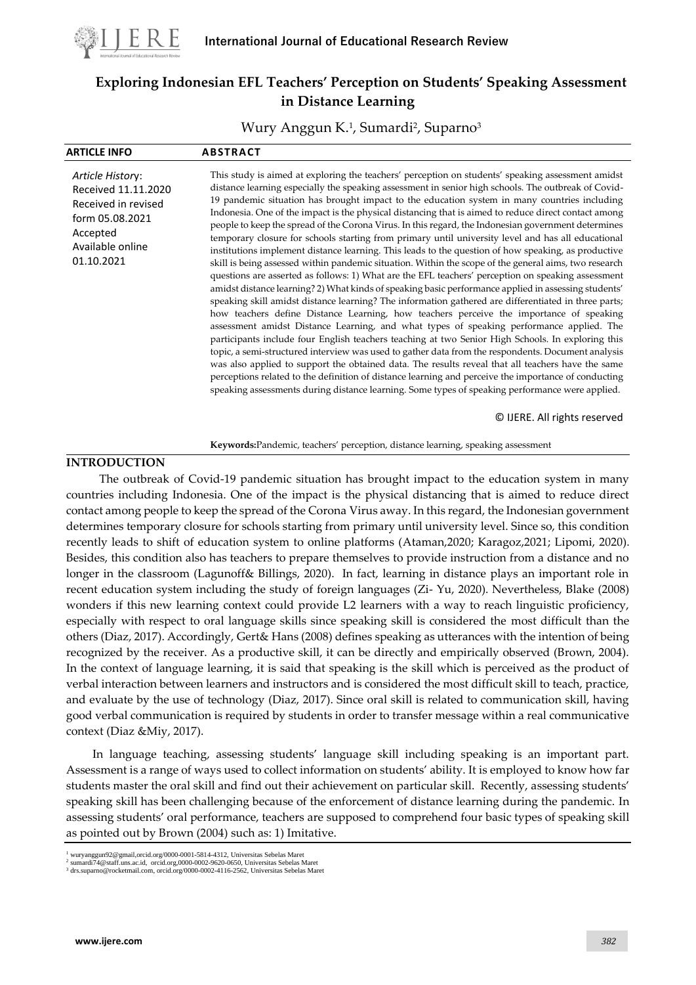

# **Exploring Indonesian EFL Teachers' Perception on Students' Speaking Assessment in Distance Learning**

Wury Anggun K.<sup>1</sup> , Sumardi<sup>2</sup> , Suparno<sup>3</sup>

| <b>ARTICLE INFO</b>                                                                                                             | <b>ABSTRACT</b>                                                                                                                                                                                                                                                                                                                                                                                                                                                                                                                                                                                                                                                                                                                                                                                                                                                                                                                                                                                                                                                                                                                                                                                                                                                                                                                                                                                                                                                                                                                                                                                                                                                                                                                                                                                                                                                                       |
|---------------------------------------------------------------------------------------------------------------------------------|---------------------------------------------------------------------------------------------------------------------------------------------------------------------------------------------------------------------------------------------------------------------------------------------------------------------------------------------------------------------------------------------------------------------------------------------------------------------------------------------------------------------------------------------------------------------------------------------------------------------------------------------------------------------------------------------------------------------------------------------------------------------------------------------------------------------------------------------------------------------------------------------------------------------------------------------------------------------------------------------------------------------------------------------------------------------------------------------------------------------------------------------------------------------------------------------------------------------------------------------------------------------------------------------------------------------------------------------------------------------------------------------------------------------------------------------------------------------------------------------------------------------------------------------------------------------------------------------------------------------------------------------------------------------------------------------------------------------------------------------------------------------------------------------------------------------------------------------------------------------------------------|
| Article History:<br>Received 11.11.2020<br>Received in revised<br>form 05.08.2021<br>Accepted<br>Available online<br>01.10.2021 | This study is aimed at exploring the teachers' perception on students' speaking assessment amidst<br>distance learning especially the speaking assessment in senior high schools. The outbreak of Covid-<br>19 pandemic situation has brought impact to the education system in many countries including<br>Indonesia. One of the impact is the physical distancing that is aimed to reduce direct contact among<br>people to keep the spread of the Corona Virus. In this regard, the Indonesian government determines<br>temporary closure for schools starting from primary until university level and has all educational<br>institutions implement distance learning. This leads to the question of how speaking, as productive<br>skill is being assessed within pandemic situation. Within the scope of the general aims, two research<br>questions are asserted as follows: 1) What are the EFL teachers' perception on speaking assessment<br>amidst distance learning? 2) What kinds of speaking basic performance applied in assessing students'<br>speaking skill amidst distance learning? The information gathered are differentiated in three parts;<br>how teachers define Distance Learning, how teachers perceive the importance of speaking<br>assessment amidst Distance Learning, and what types of speaking performance applied. The<br>participants include four English teachers teaching at two Senior High Schools. In exploring this<br>topic, a semi-structured interview was used to gather data from the respondents. Document analysis<br>was also applied to support the obtained data. The results reveal that all teachers have the same<br>perceptions related to the definition of distance learning and perceive the importance of conducting<br>speaking assessments during distance learning. Some types of speaking performance were applied. |

© IJERE. All rights reserved

**Keywords:**Pandemic, teachers' perception, distance learning, speaking assessment

### **INTRODUCTION**

The outbreak of Covid-19 pandemic situation has brought impact to the education system in many countries including Indonesia. One of the impact is the physical distancing that is aimed to reduce direct contact among people to keep the spread of the Corona Virus away. In this regard, the Indonesian government determines temporary closure for schools starting from primary until university level. Since so, this condition recently leads to shift of education system to online platforms (Ataman,2020; Karagoz,2021; Lipomi, 2020). Besides, this condition also has teachers to prepare themselves to provide instruction from a distance and no longer in the classroom (Lagunoff& Billings, 2020). In fact, learning in distance plays an important role in recent education system including the study of foreign languages (Zi- Yu, 2020). Nevertheless, Blake (2008) wonders if this new learning context could provide L2 learners with a way to reach linguistic proficiency, especially with respect to oral language skills since speaking skill is considered the most difficult than the others (Diaz, 2017). Accordingly, Gert& Hans (2008) defines speaking as utterances with the intention of being recognized by the receiver. As a productive skill, it can be directly and empirically observed (Brown, 2004). In the context of language learning, it is said that speaking is the skill which is perceived as the product of verbal interaction between learners and instructors and is considered the most difficult skill to teach, practice, and evaluate by the use of technology (Diaz, 2017). Since oral skill is related to communication skill, having good verbal communication is required by students in order to transfer message within a real communicative context (Diaz &Miy, 2017).

In language teaching, assessing students' language skill including speaking is an important part. Assessment is a range of ways used to collect information on students' ability. It is employed to know how far students master the oral skill and find out their achievement on particular skill. Recently, assessing students' speaking skill has been challenging because of the enforcement of distance learning during the pandemic. In assessing students' oral performance, teachers are supposed to comprehend four basic types of speaking skill as pointed out by Brown (2004) such as: 1) Imitative.

<sup>1</sup> wuryanggun92@gmail,orcid.org/0000-0001-5814-4312, Universitas Sebelas Maret 2

sumardi74@staff.uns.ac.id, orcid.org,0000-0002-9620-0650, Universitas Sebelas Maret <sup>3</sup> drs.suparno@rocketmail.com, orcid.org/0000-0002-4116-2562, Universitas Sebelas Maret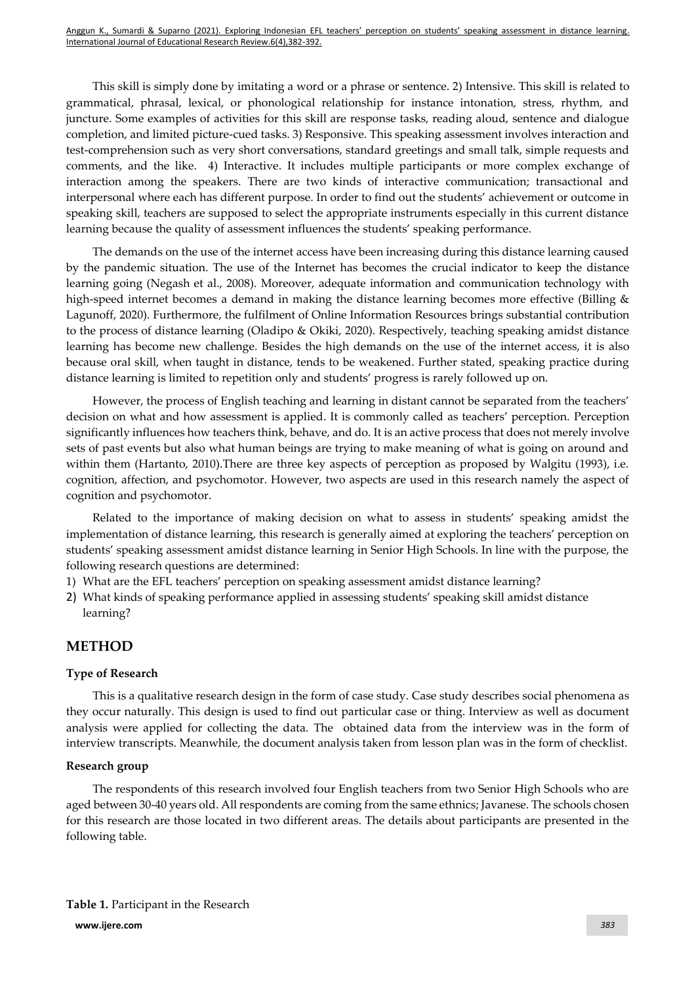This skill is simply done by imitating a word or a phrase or sentence. 2) Intensive. This skill is related to grammatical, phrasal, lexical, or phonological relationship for instance intonation, stress, rhythm, and juncture. Some examples of activities for this skill are response tasks, reading aloud, sentence and dialogue completion, and limited picture-cued tasks. 3) Responsive. This speaking assessment involves interaction and test-comprehension such as very short conversations, standard greetings and small talk, simple requests and comments, and the like. 4) Interactive. It includes multiple participants or more complex exchange of interaction among the speakers. There are two kinds of interactive communication; transactional and interpersonal where each has different purpose. In order to find out the students' achievement or outcome in speaking skill, teachers are supposed to select the appropriate instruments especially in this current distance learning because the quality of assessment influences the students' speaking performance.

The demands on the use of the internet access have been increasing during this distance learning caused by the pandemic situation. The use of the Internet has becomes the crucial indicator to keep the distance learning going (Negash et al., 2008). Moreover, adequate information and communication technology with high-speed internet becomes a demand in making the distance learning becomes more effective (Billing & Lagunoff, 2020). Furthermore, the fulfilment of Online Information Resources brings substantial contribution to the process of distance learning (Oladipo & Okiki, 2020). Respectively, teaching speaking amidst distance learning has become new challenge. Besides the high demands on the use of the internet access, it is also because oral skill, when taught in distance, tends to be weakened. Further stated, speaking practice during distance learning is limited to repetition only and students' progress is rarely followed up on.

However, the process of English teaching and learning in distant cannot be separated from the teachers' decision on what and how assessment is applied. It is commonly called as teachers' perception. Perception significantly influences how teachers think, behave, and do. It is an active process that does not merely involve sets of past events but also what human beings are trying to make meaning of what is going on around and within them (Hartanto, 2010). There are three key aspects of perception as proposed by Walgitu (1993), i.e. cognition, affection, and psychomotor. However, two aspects are used in this research namely the aspect of cognition and psychomotor.

Related to the importance of making decision on what to assess in students' speaking amidst the implementation of distance learning, this research is generally aimed at exploring the teachers' perception on students' speaking assessment amidst distance learning in Senior High Schools. In line with the purpose, the following research questions are determined:

- 1) What are the EFL teachers' perception on speaking assessment amidst distance learning?
- 2) What kinds of speaking performance applied in assessing students' speaking skill amidst distance learning?

## **METHOD**

### **Type of Research**

This is a qualitative research design in the form of case study. Case study describes social phenomena as they occur naturally. This design is used to find out particular case or thing. Interview as well as document analysis were applied for collecting the data. The obtained data from the interview was in the form of interview transcripts. Meanwhile, the document analysis taken from lesson plan was in the form of checklist.

### **Research group**

The respondents of this research involved four English teachers from two Senior High Schools who are aged between 30-40 years old. All respondents are coming from the same ethnics; Javanese. The schools chosen for this research are those located in two different areas. The details about participants are presented in the following table.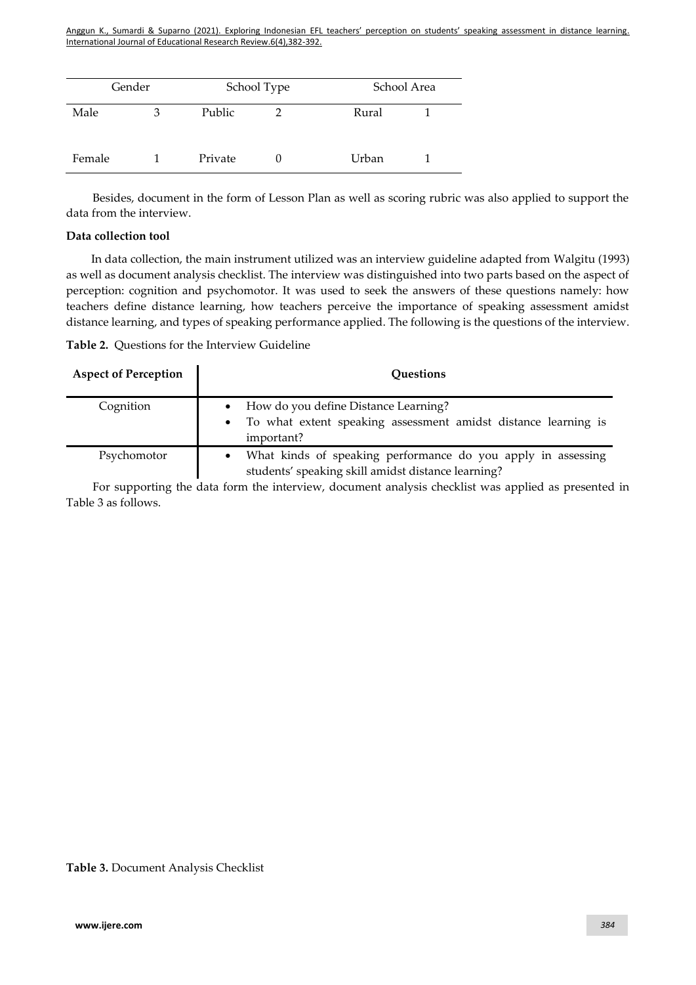| Gender |   |         | School Type | School Area |  |
|--------|---|---------|-------------|-------------|--|
| Male   | З | Public  |             | Rural       |  |
| Female |   | Private |             | Urban       |  |

Besides, document in the form of Lesson Plan as well as scoring rubric was also applied to support the data from the interview.

#### **Data collection tool**

In data collection, the main instrument utilized was an interview guideline adapted from Walgitu (1993) as well as document analysis checklist. The interview was distinguished into two parts based on the aspect of perception: cognition and psychomotor. It was used to seek the answers of these questions namely: how teachers define distance learning, how teachers perceive the importance of speaking assessment amidst distance learning, and types of speaking performance applied. The following is the questions of the interview.

| <b>Aspect of Perception</b> | <b>Questions</b>                                                                                                     |
|-----------------------------|----------------------------------------------------------------------------------------------------------------------|
| Cognition                   | How do you define Distance Learning?<br>To what extent speaking assessment amidst distance learning is<br>important? |

Psychomotor • What kinds of speaking performance do you apply in assessing students' speaking skill amidst distance learning?

For supporting the data form the interview, document analysis checklist was applied as presented in Table 3 as follows.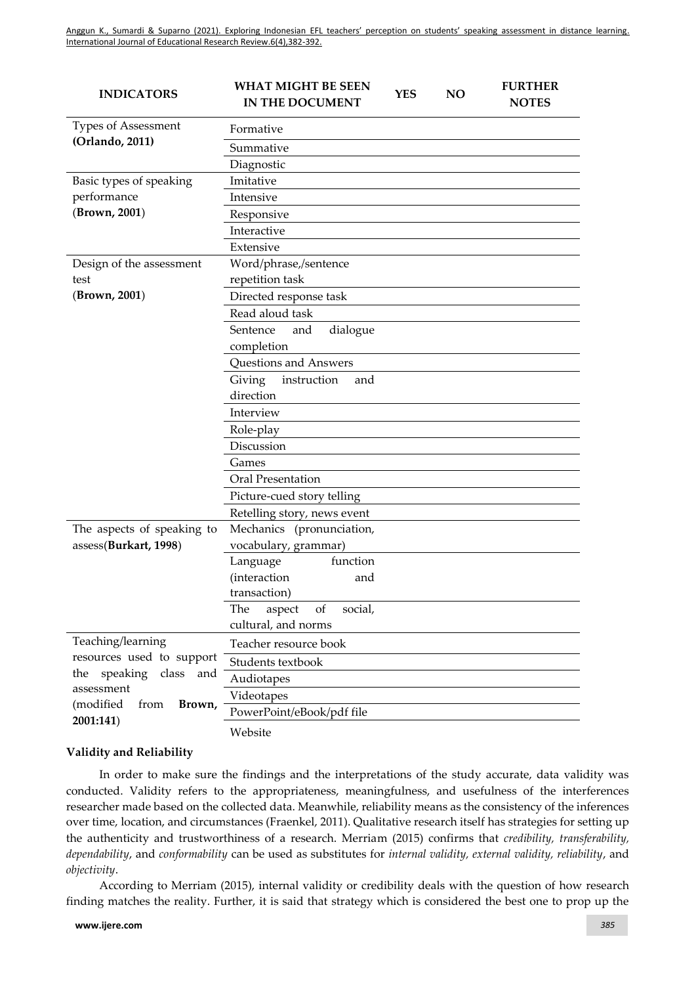| <b>INDICATORS</b>                        | <b>WHAT MIGHT BE SEEN</b><br>IN THE DOCUMENT          | <b>YES</b> | N <sub>O</sub> | <b>FURTHER</b><br><b>NOTES</b> |
|------------------------------------------|-------------------------------------------------------|------------|----------------|--------------------------------|
| Types of Assessment                      | Formative                                             |            |                |                                |
| (Orlando, 2011)                          | Summative                                             |            |                |                                |
|                                          | Diagnostic                                            |            |                |                                |
| Basic types of speaking                  | Imitative                                             |            |                |                                |
| performance                              | Intensive                                             |            |                |                                |
| (Brown, 2001)                            | Responsive                                            |            |                |                                |
|                                          | Interactive                                           |            |                |                                |
|                                          | Extensive                                             |            |                |                                |
| Design of the assessment                 | Word/phrase,/sentence                                 |            |                |                                |
| test                                     | repetition task                                       |            |                |                                |
| (Brown, 2001)                            | Directed response task                                |            |                |                                |
|                                          | Read aloud task                                       |            |                |                                |
|                                          | Sentence<br>dialogue<br>and                           |            |                |                                |
|                                          | completion                                            |            |                |                                |
|                                          | Questions and Answers                                 |            |                |                                |
|                                          | Giving<br>instruction<br>and                          |            |                |                                |
|                                          | direction                                             |            |                |                                |
|                                          | Interview                                             |            |                |                                |
|                                          | Role-play                                             |            |                |                                |
|                                          | Discussion                                            |            |                |                                |
|                                          | Games                                                 |            |                |                                |
|                                          | Oral Presentation                                     |            |                |                                |
|                                          | Picture-cued story telling                            |            |                |                                |
|                                          | Retelling story, news event                           |            |                |                                |
| The aspects of speaking to               | Mechanics (pronunciation,                             |            |                |                                |
| assess(Burkart, 1998)                    | vocabulary, grammar)                                  |            |                |                                |
|                                          | function<br>Language                                  |            |                |                                |
|                                          | (interaction<br>and                                   |            |                |                                |
|                                          | transaction)                                          |            |                |                                |
|                                          | The<br>aspect<br>of<br>social,<br>cultural, and norms |            |                |                                |
| Teaching/learning                        | Teacher resource book                                 |            |                |                                |
| resources used to support                | Students textbook                                     |            |                |                                |
| speaking class<br>the<br>and             | Audiotapes                                            |            |                |                                |
| assessment                               | Videotapes                                            |            |                |                                |
| (modified<br>from<br>Brown,<br>2001:141) | PowerPoint/eBook/pdf file                             |            |                |                                |
|                                          | Website                                               |            |                |                                |

### **Validity and Reliability**

In order to make sure the findings and the interpretations of the study accurate, data validity was conducted. Validity refers to the appropriateness, meaningfulness, and usefulness of the interferences researcher made based on the collected data. Meanwhile, reliability means as the consistency of the inferences over time, location, and circumstances (Fraenkel, 2011). Qualitative research itself has strategies for setting up the authenticity and trustworthiness of a research. Merriam (2015) confirms that *credibility, transferability, dependability*, and *conformability* can be used as substitutes for *internal validity, external validity, reliability*, and *objectivity*.

According to Merriam (2015), internal validity or credibility deals with the question of how research finding matches the reality. Further, it is said that strategy which is considered the best one to prop up the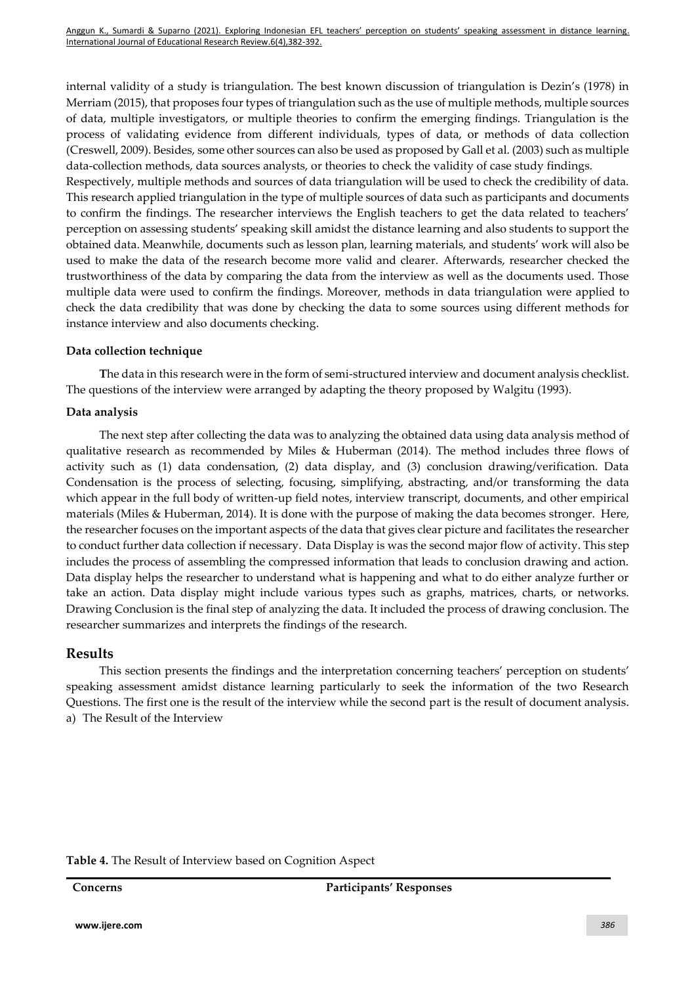internal validity of a study is triangulation. The best known discussion of triangulation is Dezin's (1978) in Merriam (2015), that proposes four types of triangulation such as the use of multiple methods, multiple sources of data, multiple investigators, or multiple theories to confirm the emerging findings. Triangulation is the process of validating evidence from different individuals, types of data, or methods of data collection (Creswell, 2009). Besides, some other sources can also be used as proposed by Gall et al. (2003) such as multiple data-collection methods, data sources analysts, or theories to check the validity of case study findings.

Respectively, multiple methods and sources of data triangulation will be used to check the credibility of data. This research applied triangulation in the type of multiple sources of data such as participants and documents to confirm the findings. The researcher interviews the English teachers to get the data related to teachers' perception on assessing students' speaking skill amidst the distance learning and also students to support the obtained data. Meanwhile, documents such as lesson plan, learning materials, and students' work will also be used to make the data of the research become more valid and clearer. Afterwards, researcher checked the trustworthiness of the data by comparing the data from the interview as well as the documents used. Those multiple data were used to confirm the findings. Moreover, methods in data triangulation were applied to check the data credibility that was done by checking the data to some sources using different methods for instance interview and also documents checking.

### **Data collection technique**

**T**he data in this research were in the form of semi-structured interview and document analysis checklist. The questions of the interview were arranged by adapting the theory proposed by Walgitu (1993).

### **Data analysis**

The next step after collecting the data was to analyzing the obtained data using data analysis method of qualitative research as recommended by Miles & Huberman (2014). The method includes three flows of activity such as (1) data condensation, (2) data display, and (3) conclusion drawing/verification. Data Condensation is the process of selecting, focusing, simplifying, abstracting, and/or transforming the data which appear in the full body of written-up field notes, interview transcript, documents, and other empirical materials (Miles & Huberman, 2014). It is done with the purpose of making the data becomes stronger. Here, the researcher focuses on the important aspects of the data that gives clear picture and facilitates the researcher to conduct further data collection if necessary. Data Display is was the second major flow of activity. This step includes the process of assembling the compressed information that leads to conclusion drawing and action. Data display helps the researcher to understand what is happening and what to do either analyze further or take an action. Data display might include various types such as graphs, matrices, charts, or networks. Drawing Conclusion is the final step of analyzing the data. It included the process of drawing conclusion. The researcher summarizes and interprets the findings of the research.

## **Results**

This section presents the findings and the interpretation concerning teachers' perception on students' speaking assessment amidst distance learning particularly to seek the information of the two Research Questions. The first one is the result of the interview while the second part is the result of document analysis. a) The Result of the Interview

### **Table 4.** The Result of Interview based on Cognition Aspect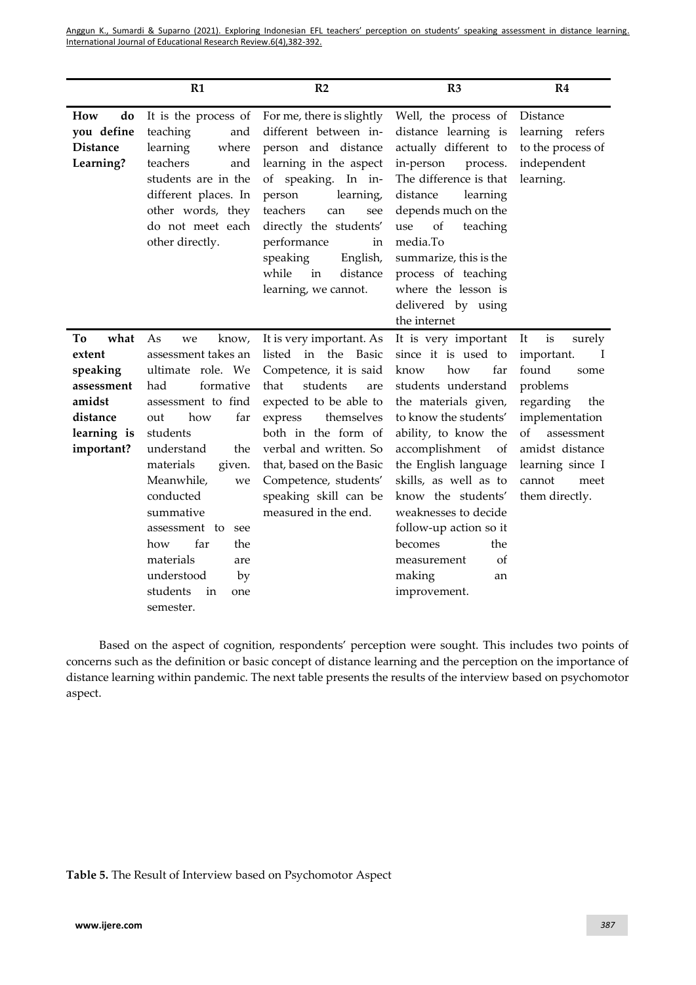|                                                                                                   | R1                                                                                                                                                                                                                                                                                                                                                            | R <sub>2</sub>                                                                                                                                                                                                                                                                                                 | R3                                                                                                                                                                                                                                                                                                                                                                                        | R <sub>4</sub>                                                                                                                                                                                          |
|---------------------------------------------------------------------------------------------------|---------------------------------------------------------------------------------------------------------------------------------------------------------------------------------------------------------------------------------------------------------------------------------------------------------------------------------------------------------------|----------------------------------------------------------------------------------------------------------------------------------------------------------------------------------------------------------------------------------------------------------------------------------------------------------------|-------------------------------------------------------------------------------------------------------------------------------------------------------------------------------------------------------------------------------------------------------------------------------------------------------------------------------------------------------------------------------------------|---------------------------------------------------------------------------------------------------------------------------------------------------------------------------------------------------------|
| do<br>How<br>you define<br><b>Distance</b><br>Learning?                                           | It is the process of<br>teaching<br>and<br>learning<br>where<br>teachers<br>and<br>students are in the<br>different places. In<br>other words, they<br>do not meet each<br>other directly.                                                                                                                                                                    | For me, there is slightly<br>different between in-<br>person and distance<br>learning in the aspect<br>of speaking. In in-<br>person<br>learning,<br>teachers<br>can<br>see<br>directly the students'<br>performance<br>in<br>English,<br>speaking<br>while<br>in<br>distance<br>learning, we cannot.          | Well, the process of<br>distance learning is<br>actually different to<br>in-person<br>process.<br>The difference is that<br>distance<br>learning<br>depends much on the<br>of<br>use<br>teaching<br>media.To<br>summarize, this is the<br>process of teaching<br>where the lesson is<br>delivered by using<br>the internet                                                                | Distance<br>learning refers<br>to the process of<br>independent<br>learning.                                                                                                                            |
| what<br>To<br>extent<br>speaking<br>assessment<br>amidst<br>distance<br>learning is<br>important? | As<br>know,<br>we<br>assessment takes an<br>ultimate role. We<br>formative<br>had<br>assessment to find<br>how<br>far<br>out<br>students<br>understand<br>the<br>materials<br>given.<br>Meanwhile,<br>we<br>conducted<br>summative<br>assessment to<br>see<br>far<br>the<br>how<br>materials<br>are<br>understood<br>by<br>students<br>in<br>one<br>semester. | It is very important. As<br>listed in the Basic<br>Competence, it is said<br>that<br>students<br>are<br>expected to be able to<br>express<br>themselves<br>both in the form of<br>verbal and written. So<br>that, based on the Basic<br>Competence, students'<br>speaking skill can be<br>measured in the end. | It is very important<br>since it is used to<br>how<br>far<br>know<br>students understand<br>the materials given,<br>to know the students'<br>ability, to know the<br>accomplishment<br>of<br>the English language<br>skills, as well as to<br>know the students'<br>weaknesses to decide<br>follow-up action so it<br>becomes<br>the<br>οf<br>measurement<br>making<br>an<br>improvement. | is<br>It<br>surely<br>important.<br>T<br>found<br>some<br>problems<br>regarding<br>the<br>implementation<br>of<br>assessment<br>amidst distance<br>learning since I<br>cannot<br>meet<br>them directly. |

Based on the aspect of cognition, respondents' perception were sought. This includes two points of concerns such as the definition or basic concept of distance learning and the perception on the importance of distance learning within pandemic. The next table presents the results of the interview based on psychomotor aspect.

**Table 5.** The Result of Interview based on Psychomotor Aspect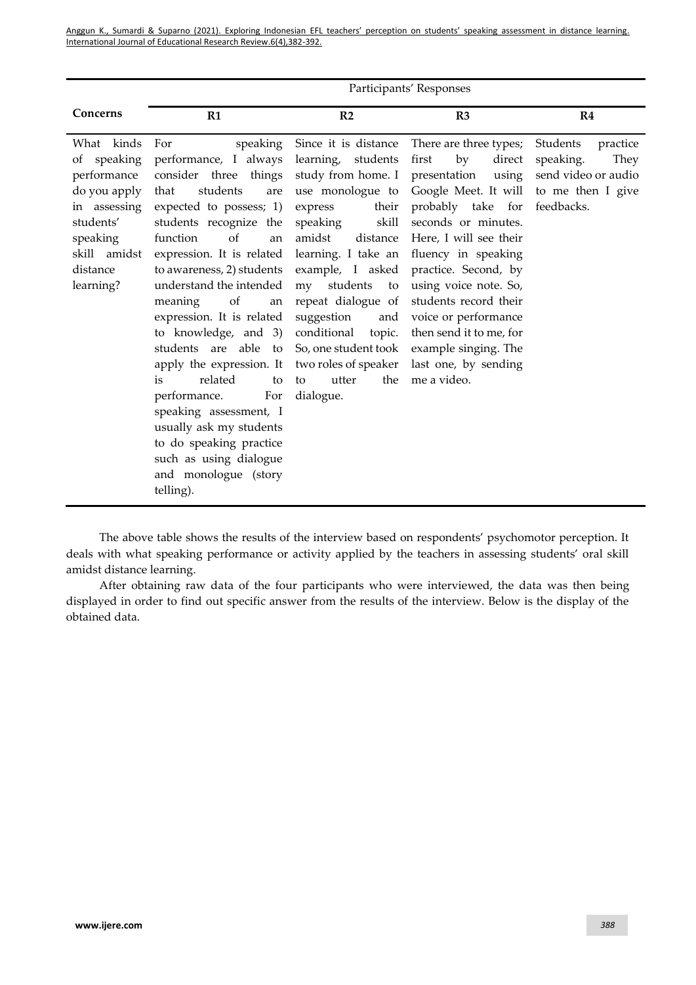|                                                                                                                                            | Participants' Responses                                                                                                                                                                                                                                                                                                                                                                                                                                                                                                                                                                     |                                                                                                                                                                                                                                                                                                                                                                               |                                                                                                                                                                                                                                                                                                                                                                                           |                                                                                                     |
|--------------------------------------------------------------------------------------------------------------------------------------------|---------------------------------------------------------------------------------------------------------------------------------------------------------------------------------------------------------------------------------------------------------------------------------------------------------------------------------------------------------------------------------------------------------------------------------------------------------------------------------------------------------------------------------------------------------------------------------------------|-------------------------------------------------------------------------------------------------------------------------------------------------------------------------------------------------------------------------------------------------------------------------------------------------------------------------------------------------------------------------------|-------------------------------------------------------------------------------------------------------------------------------------------------------------------------------------------------------------------------------------------------------------------------------------------------------------------------------------------------------------------------------------------|-----------------------------------------------------------------------------------------------------|
| Concerns                                                                                                                                   | R1                                                                                                                                                                                                                                                                                                                                                                                                                                                                                                                                                                                          | R2                                                                                                                                                                                                                                                                                                                                                                            | R3                                                                                                                                                                                                                                                                                                                                                                                        | R <sub>4</sub>                                                                                      |
| What kinds<br>of speaking<br>performance<br>do you apply<br>in assessing<br>students'<br>speaking<br>skill amidst<br>distance<br>learning? | For<br>speaking<br>performance, I always<br>consider three things<br>students<br>that<br>are<br>expected to possess; 1)<br>students recognize the<br>of<br>function<br>an<br>expression. It is related<br>to awareness, 2) students<br>understand the intended<br>of<br>meaning<br>an<br>expression. It is related<br>to knowledge, and 3)<br>students are able to<br>apply the expression. It<br>related<br>is<br>to<br>For<br>performance.<br>speaking assessment, I<br>usually ask my students<br>to do speaking practice<br>such as using dialogue<br>and monologue (story<br>telling). | Since it is distance<br>learning, students<br>study from home. I<br>use monologue to<br>express<br>their<br>skill<br>speaking<br>amidst<br>distance<br>learning. I take an<br>example, I asked<br>students<br>my<br>to<br>repeat dialogue of<br>suggestion<br>and<br>conditional<br>topic.<br>So, one student took<br>two roles of speaker<br>utter<br>the<br>to<br>dialogue. | There are three types;<br>by<br>direct<br>first<br>presentation<br>using<br>Google Meet. It will<br>probably take for<br>seconds or minutes.<br>Here, I will see their<br>fluency in speaking<br>practice. Second, by<br>using voice note. So,<br>students record their<br>voice or performance<br>then send it to me, for<br>example singing. The<br>last one, by sending<br>me a video. | Students<br>practice<br>speaking.<br>They<br>send video or audio<br>to me then I give<br>feedbacks. |

The above table shows the results of the interview based on respondents' psychomotor perception. It deals with what speaking performance or activity applied by the teachers in assessing students' oral skill amidst distance learning.

After obtaining raw data of the four participants who were interviewed, the data was then being displayed in order to find out specific answer from the results of the interview. Below is the display of the obtained data.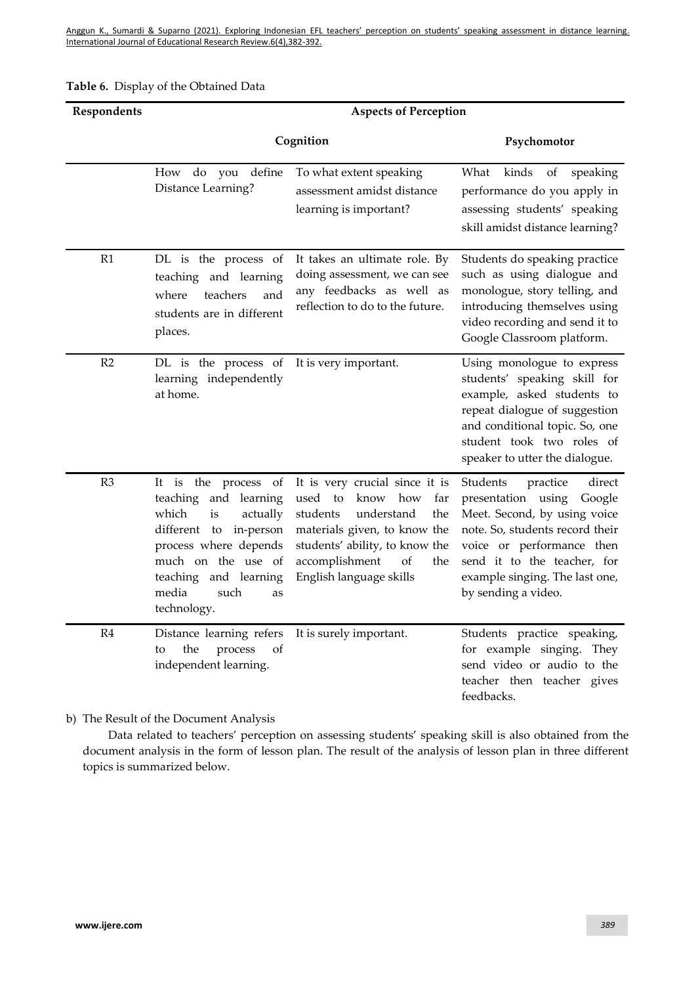|  | Table 6. Display of the Obtained Data |
|--|---------------------------------------|
|--|---------------------------------------|

| Respondents    | <b>Aspects of Perception</b>                                                                                                                                                                                        |                                                                                                                                                                                                                              |                                                                                                                                                                                                                                                        |  |
|----------------|---------------------------------------------------------------------------------------------------------------------------------------------------------------------------------------------------------------------|------------------------------------------------------------------------------------------------------------------------------------------------------------------------------------------------------------------------------|--------------------------------------------------------------------------------------------------------------------------------------------------------------------------------------------------------------------------------------------------------|--|
|                | Cognition                                                                                                                                                                                                           | Psychomotor                                                                                                                                                                                                                  |                                                                                                                                                                                                                                                        |  |
|                | do you define<br>How<br>Distance Learning?                                                                                                                                                                          | To what extent speaking<br>assessment amidst distance<br>learning is important?                                                                                                                                              | What<br>kinds<br>of<br>speaking<br>performance do you apply in<br>assessing students' speaking<br>skill amidst distance learning?                                                                                                                      |  |
| R1             | DL is the process of<br>teaching and learning<br>teachers<br>where<br>and<br>students are in different<br>places.                                                                                                   | It takes an ultimate role. By<br>doing assessment, we can see<br>any feedbacks as well as<br>reflection to do to the future.                                                                                                 | Students do speaking practice<br>such as using dialogue and<br>monologue, story telling, and<br>introducing themselves using<br>video recording and send it to<br>Google Classroom platform.                                                           |  |
| R2             | DL is the process of<br>learning independently<br>at home.                                                                                                                                                          | It is very important.                                                                                                                                                                                                        | Using monologue to express<br>students' speaking skill for<br>example, asked students to<br>repeat dialogue of suggestion<br>and conditional topic. So, one<br>student took two roles of<br>speaker to utter the dialogue.                             |  |
| R <sub>3</sub> | It is the process of<br>teaching and learning<br>which<br>is<br>actually<br>different to in-person<br>process where depends<br>much on the use of<br>teaching and<br>learning<br>media<br>such<br>as<br>technology. | It is very crucial since it is<br>used to<br>know<br>how<br>far<br>students<br>understand<br>the<br>materials given, to know the<br>students' ability, to know the<br>accomplishment<br>the<br>Οf<br>English language skills | Students<br>direct<br>practice<br>presentation using<br>Google<br>Meet. Second, by using voice<br>note. So, students record their<br>voice or performance then<br>send it to the teacher, for<br>example singing. The last one,<br>by sending a video. |  |
| R4             | Distance learning refers<br>of<br>the<br>process<br>to<br>independent learning.                                                                                                                                     | It is surely important.                                                                                                                                                                                                      | Students practice speaking,<br>for example singing. They<br>send video or audio to the<br>teacher then teacher gives<br>feedbacks.                                                                                                                     |  |

b) The Result of the Document Analysis

Data related to teachers' perception on assessing students' speaking skill is also obtained from the document analysis in the form of lesson plan. The result of the analysis of lesson plan in three different topics is summarized below.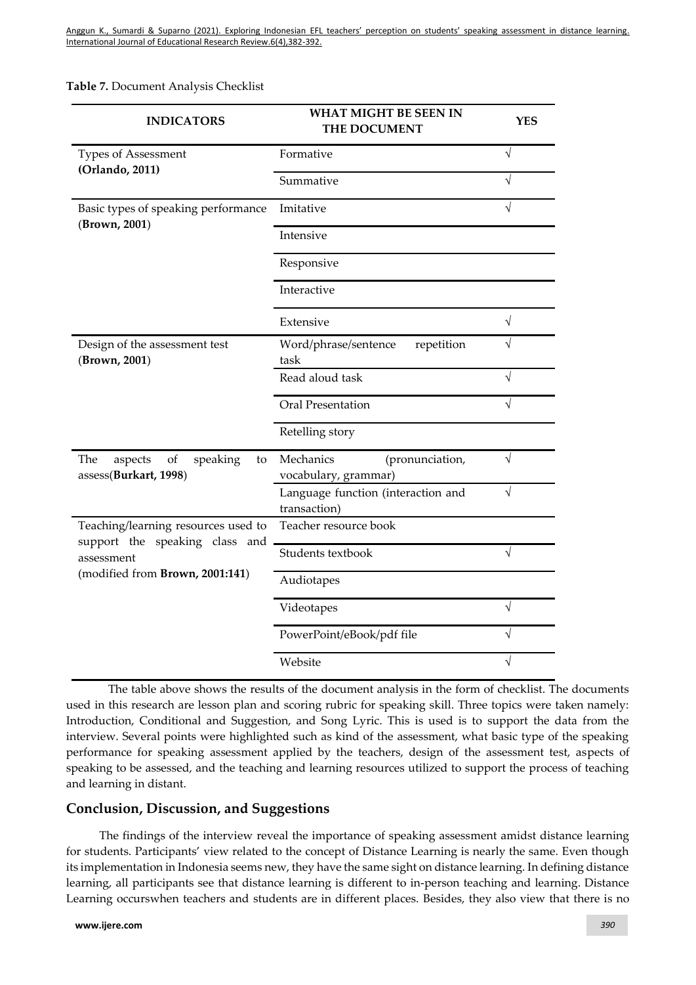**Table 7.** Document Analysis Checklist

| <b>INDICATORS</b>                                               | <b>WHAT MIGHT BE SEEN IN</b><br>THE DOCUMENT         | <b>YES</b> |
|-----------------------------------------------------------------|------------------------------------------------------|------------|
| <b>Types of Assessment</b><br>(Orlando, 2011)                   | Formative                                            | $\sqrt{}$  |
|                                                                 | Summative                                            | $\sqrt{}$  |
| Basic types of speaking performance<br>(Brown, 2001)            | Imitative                                            | J          |
|                                                                 | Intensive                                            |            |
|                                                                 | Responsive                                           |            |
|                                                                 | Interactive                                          |            |
|                                                                 | Extensive                                            | $\sqrt{}$  |
| Design of the assessment test<br>(Brown, 2001)                  | Word/phrase/sentence<br>repetition<br>task           | V          |
|                                                                 | Read aloud task                                      | $\sqrt{}$  |
|                                                                 | Oral Presentation                                    | V          |
|                                                                 | Retelling story                                      |            |
| The<br>of<br>aspects<br>speaking<br>to<br>assess(Burkart, 1998) | Mechanics<br>(pronunciation,<br>vocabulary, grammar) | $\sqrt{}$  |
|                                                                 | Language function (interaction and<br>transaction)   | $\sqrt{ }$ |
| Teaching/learning resources used to                             | Teacher resource book                                |            |
| support the speaking class and<br>assessment                    | Students textbook                                    | $\sqrt{}$  |
| (modified from Brown, 2001:141)                                 | Audiotapes                                           |            |
|                                                                 | Videotapes                                           | $\sqrt{ }$ |
|                                                                 | PowerPoint/eBook/pdf file                            | $\sqrt{}$  |
|                                                                 | Website                                              | $\sqrt{}$  |

The table above shows the results of the document analysis in the form of checklist. The documents used in this research are lesson plan and scoring rubric for speaking skill. Three topics were taken namely: Introduction, Conditional and Suggestion, and Song Lyric. This is used is to support the data from the interview. Several points were highlighted such as kind of the assessment, what basic type of the speaking performance for speaking assessment applied by the teachers, design of the assessment test, aspects of speaking to be assessed, and the teaching and learning resources utilized to support the process of teaching and learning in distant.

### **Conclusion, Discussion, and Suggestions**

The findings of the interview reveal the importance of speaking assessment amidst distance learning for students. Participants' view related to the concept of Distance Learning is nearly the same. Even though its implementation in Indonesia seems new, they have the same sight on distance learning. In defining distance learning, all participants see that distance learning is different to in-person teaching and learning. Distance Learning occurswhen teachers and students are in different places. Besides, they also view that there is no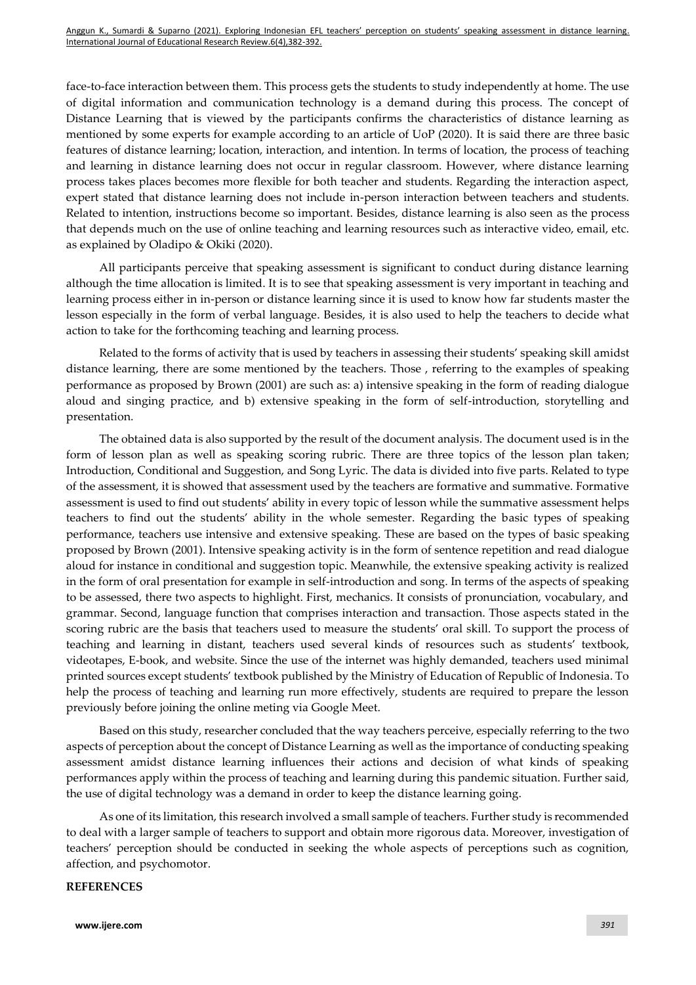face-to-face interaction between them. This process gets the students to study independently at home. The use of digital information and communication technology is a demand during this process. The concept of Distance Learning that is viewed by the participants confirms the characteristics of distance learning as mentioned by some experts for example according to an article of UoP (2020). It is said there are three basic features of distance learning; location, interaction, and intention. In terms of location, the process of teaching and learning in distance learning does not occur in regular classroom. However, where distance learning process takes places becomes more flexible for both teacher and students. Regarding the interaction aspect, expert stated that distance learning does not include in-person interaction between teachers and students. Related to intention, instructions become so important. Besides, distance learning is also seen as the process that depends much on the use of online teaching and learning resources such as interactive video, email, etc. as explained by Oladipo & Okiki (2020).

All participants perceive that speaking assessment is significant to conduct during distance learning although the time allocation is limited. It is to see that speaking assessment is very important in teaching and learning process either in in-person or distance learning since it is used to know how far students master the lesson especially in the form of verbal language. Besides, it is also used to help the teachers to decide what action to take for the forthcoming teaching and learning process.

Related to the forms of activity that is used by teachers in assessing their students' speaking skill amidst distance learning, there are some mentioned by the teachers. Those , referring to the examples of speaking performance as proposed by Brown (2001) are such as: a) intensive speaking in the form of reading dialogue aloud and singing practice, and b) extensive speaking in the form of self-introduction, storytelling and presentation.

The obtained data is also supported by the result of the document analysis. The document used is in the form of lesson plan as well as speaking scoring rubric. There are three topics of the lesson plan taken; Introduction, Conditional and Suggestion, and Song Lyric. The data is divided into five parts. Related to type of the assessment, it is showed that assessment used by the teachers are formative and summative. Formative assessment is used to find out students' ability in every topic of lesson while the summative assessment helps teachers to find out the students' ability in the whole semester. Regarding the basic types of speaking performance, teachers use intensive and extensive speaking. These are based on the types of basic speaking proposed by Brown (2001). Intensive speaking activity is in the form of sentence repetition and read dialogue aloud for instance in conditional and suggestion topic. Meanwhile, the extensive speaking activity is realized in the form of oral presentation for example in self-introduction and song. In terms of the aspects of speaking to be assessed, there two aspects to highlight. First, mechanics. It consists of pronunciation, vocabulary, and grammar. Second, language function that comprises interaction and transaction. Those aspects stated in the scoring rubric are the basis that teachers used to measure the students' oral skill. To support the process of teaching and learning in distant, teachers used several kinds of resources such as students' textbook, videotapes, E-book, and website. Since the use of the internet was highly demanded, teachers used minimal printed sources except students' textbook published by the Ministry of Education of Republic of Indonesia. To help the process of teaching and learning run more effectively, students are required to prepare the lesson previously before joining the online meting via Google Meet.

Based on this study, researcher concluded that the way teachers perceive, especially referring to the two aspects of perception about the concept of Distance Learning as well as the importance of conducting speaking assessment amidst distance learning influences their actions and decision of what kinds of speaking performances apply within the process of teaching and learning during this pandemic situation. Further said, the use of digital technology was a demand in order to keep the distance learning going.

As one of its limitation, this research involved a small sample of teachers. Further study is recommended to deal with a larger sample of teachers to support and obtain more rigorous data. Moreover, investigation of teachers' perception should be conducted in seeking the whole aspects of perceptions such as cognition, affection, and psychomotor.

#### **REFERENCES**